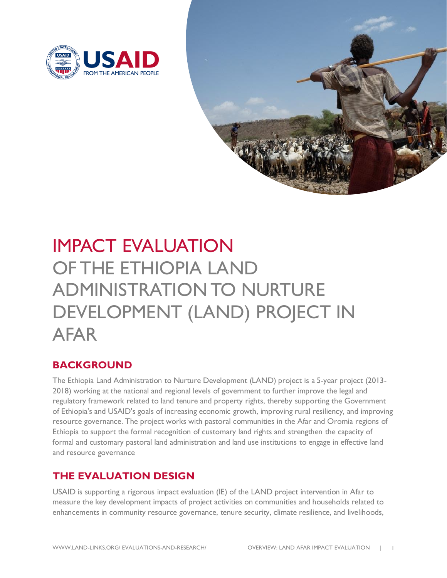



# IMPACT EVALUATION OF THE ETHIOPIA LAND ADMINISTRATION TO NURTURE DEVELOPMENT (LAND) PROJECT IN AFAR

## **BACKGROUND**

The Ethiopia Land Administration to Nurture Development (LAND) project is a 5-year project (2013- 2018) working at the national and regional levels of government to further improve the legal and regulatory framework related to land tenure and property rights, thereby supporting the Government of Ethiopia's and USAID's goals of increasing economic growth, improving rural resiliency, and improving resource governance. The project works with pastoral communities in the Afar and Oromia regions of Ethiopia to support the formal recognition of customary land rights and strengthen the capacity of formal and customary pastoral land administration and land use institutions to engage in effective land and resource governance

## **THE EVALUATION DESIGN**

USAID is supporting a rigorous impact evaluation (IE) of the LAND project intervention in Afar to measure the key development impacts of project activities on communities and households related to enhancements in community resource governance, tenure security, climate resilience, and livelihoods,